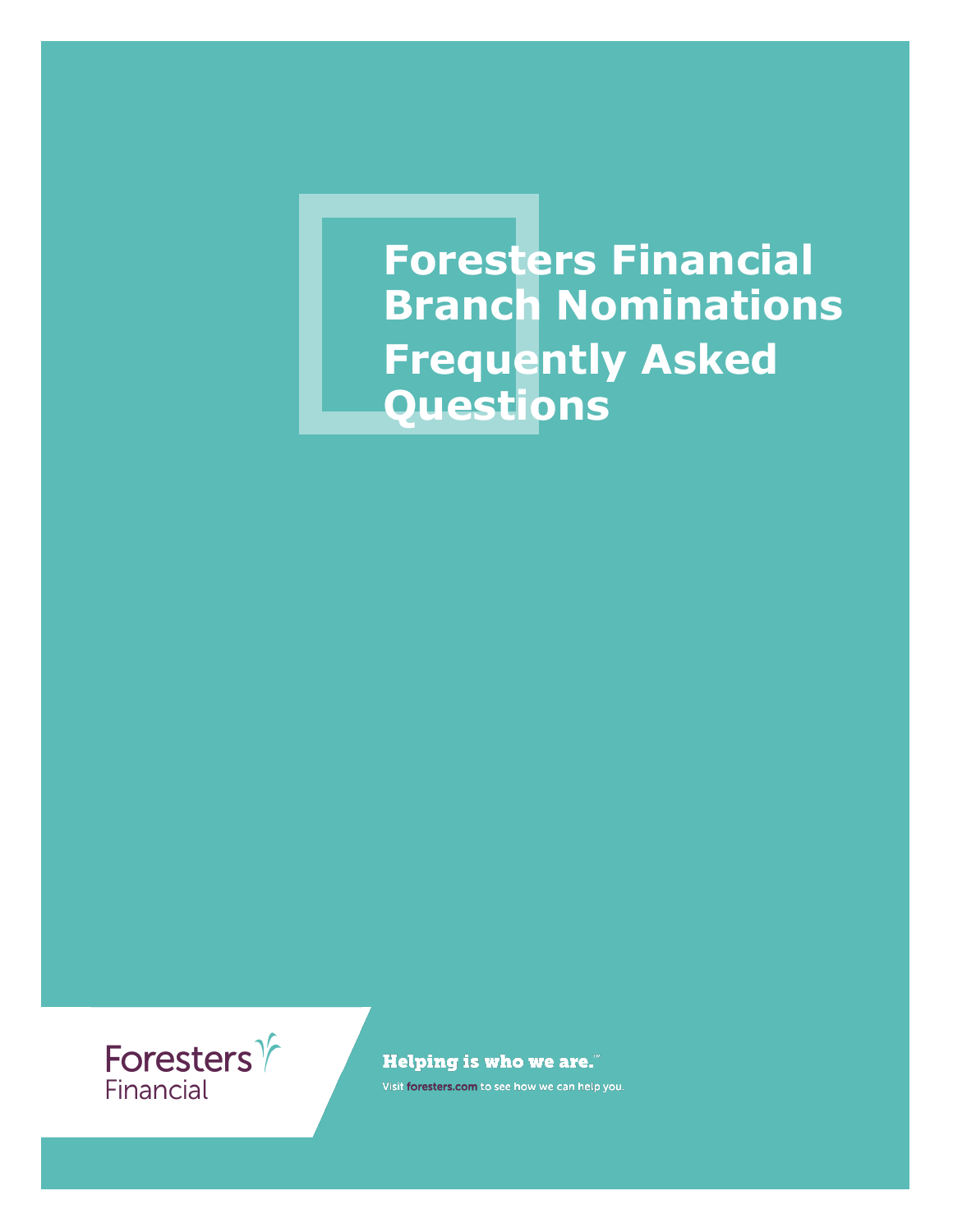**Foresters Financial Branch Nominations Frequently Asked Questions**



**Helping is who we are."** 

Visit foresters.com to see how we can help you.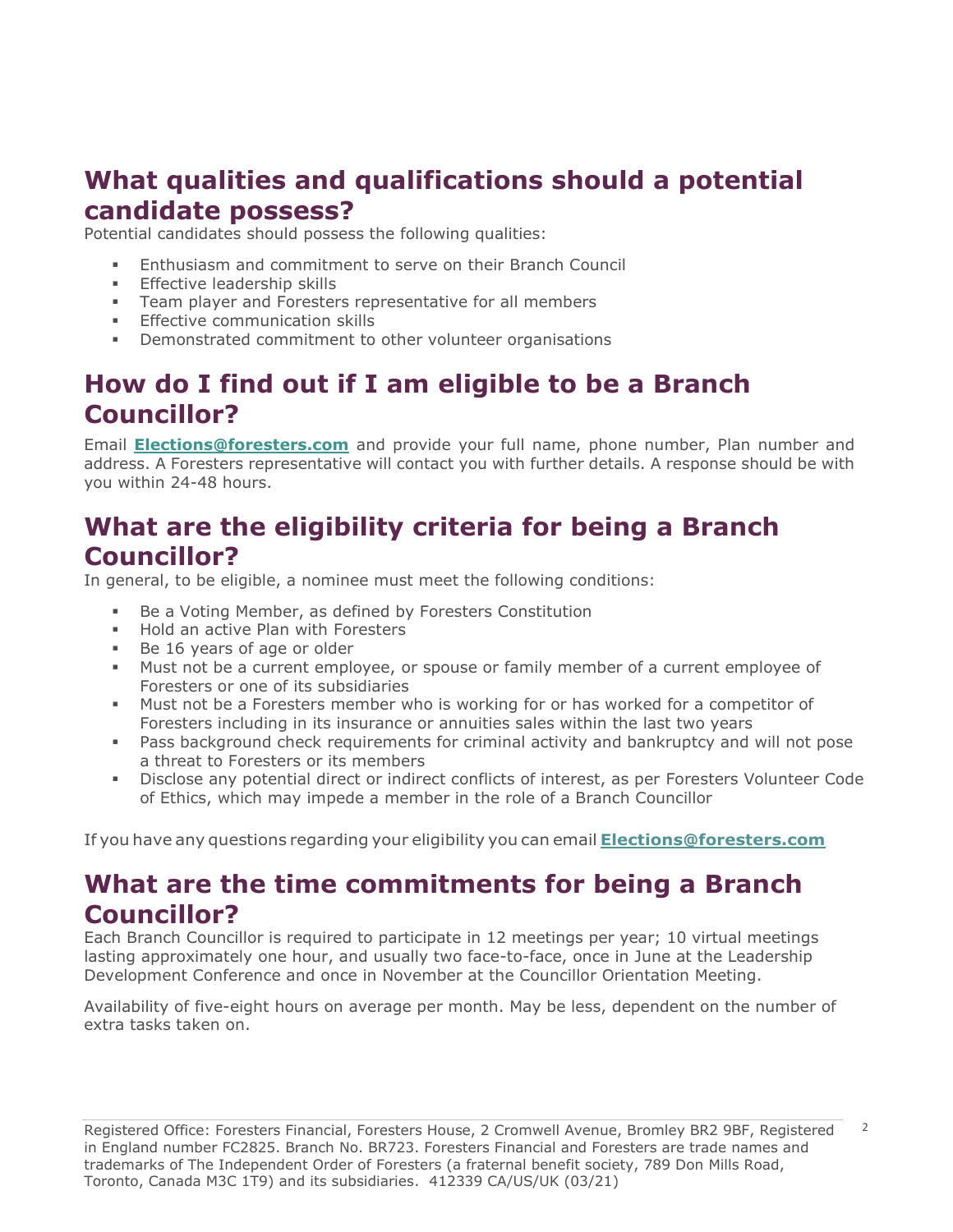# **What qualities and qualifications should a potential candidate possess?**

Potential candidates should possess the following qualities:

- **Enthusiasm and commitment to serve on their Branch Council**
- **Effective leadership skills**
- **EXEC** Team player and Foresters representative for all members
- **Effective communication skills**
- Demonstrated commitment to other volunteer organisations

# **How do I find out if I am eligible to be a Branch Councillor?**

Email **[Elections@foresters.com](mailto:Elections@foresters.com)** and provide your full name, phone number, Plan number and address. A Foresters representative will contact you with further details. A response should be with you within 24-48 hours.

## **What are the eligibility criteria for being a Branch Councillor?**

In general, to be eligible, a nominee must meet the following conditions:

- Be a Voting Member, as defined by Foresters Constitution
- Hold an active Plan with Foresters
- Be 16 years of age or older
- Must not be a current employee, or spouse or family member of a current employee of Foresters or one of its subsidiaries
- Must not be a Foresters member who is working for or has worked for a competitor of Foresters including in its insurance or annuities sales within the last two years
- **•** Pass background check requirements for criminal activity and bankruptcy and will not pose a threat to Foresters or its members
- Disclose any potential direct or indirect conflicts of interest, as per Foresters Volunteer Code of Ethics, which may impede a member in the role of a Branch Councillor

If you have any questions regarding your eligibility you can email **[Elections@foresters.com](mailto:Elections@foresters.com)**

#### **What are the time commitments for being a Branch Councillor?**

Each Branch Councillor is required to participate in 12 meetings per year; 10 virtual meetings lasting approximately one hour, and usually two face-to-face, once in June at the Leadership Development Conference and once in November at the Councillor Orientation Meeting.

Availability of five-eight hours on average per month. May be less, dependent on the number of extra tasks taken on.

2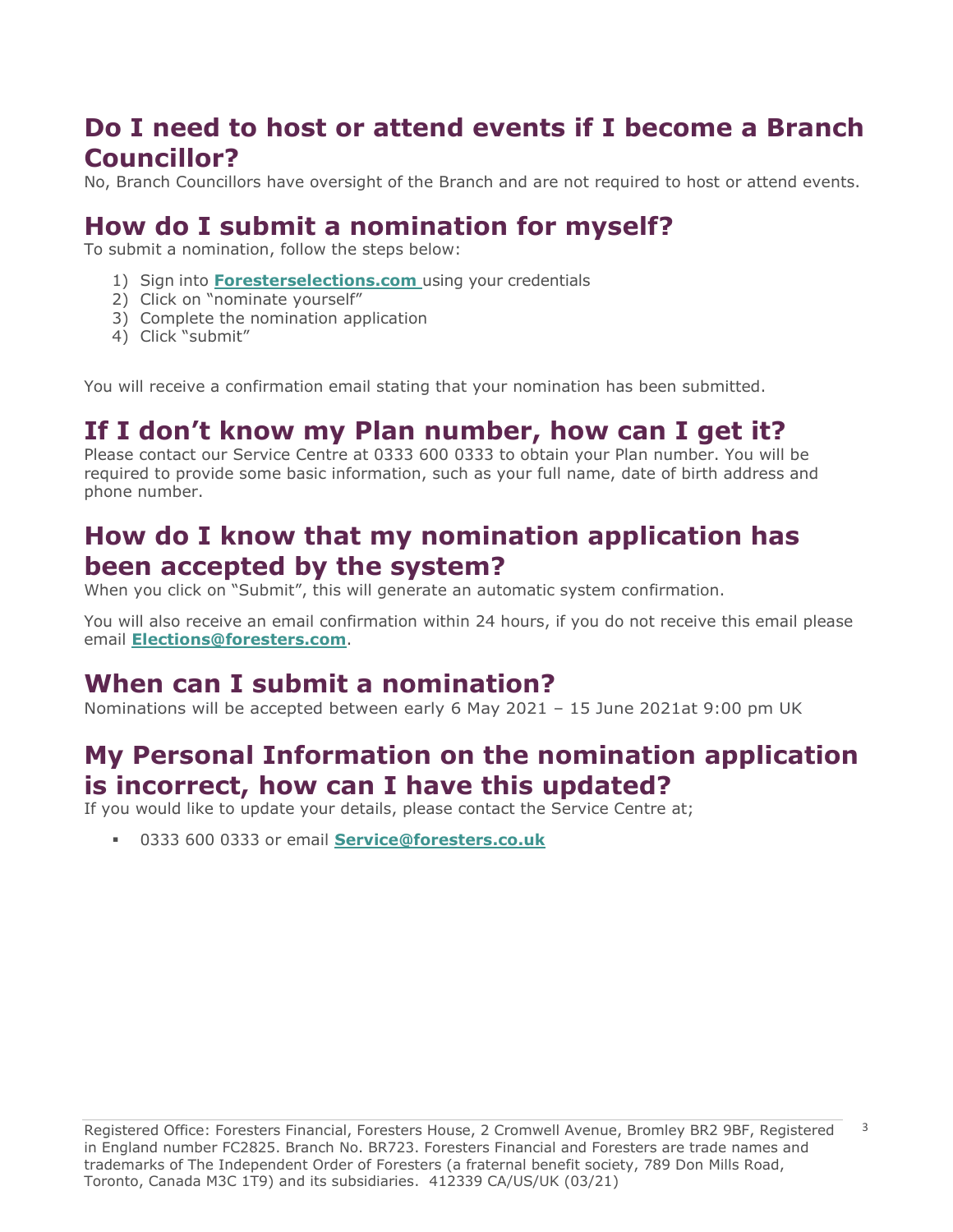# **Do I need to host or attend events if I become a Branch Councillor?**

No, Branch Councillors have oversight of the Branch and are not required to host or attend events.

# **How do I submit a nomination for myself?**

To submit a nomination, follow the steps below:

- 1) Sign into **Foresterselections.com** using your credentials
- 2) Click on "nominate yourself"
- 3) Complete the nomination application
- 4) Click "submit"

You will receive a confirmation email stating that your nomination has been submitted.

## **If I don't know my Plan number, how can I get it?**

Please contact our Service Centre at 0333 600 0333 to obtain your Plan number. You will be required to provide some basic information, such as your full name, date of birth address and phone number.

## **How do I know that my nomination application has been accepted by the system?**

When you click on "Submit", this will generate an automatic system confirmation.

You will also receive an email confirmation within 24 hours, if you do not receive this email please email **[Elections@foresters.com](mailto:Elections@foresters.com)**.

## **When can I submit a nomination?**

Nominations will be accepted between early 6 May 2021 – 15 June 2021at 9:00 pm UK

### **My Personal Information on the nomination application is incorrect, how can I have this updated?**

If you would like to update your details, please contact the Service Centre at;

▪ 0333 600 0333 or email **[Service@foresters.co.uk](mailto:Service@foresters.co.uk)**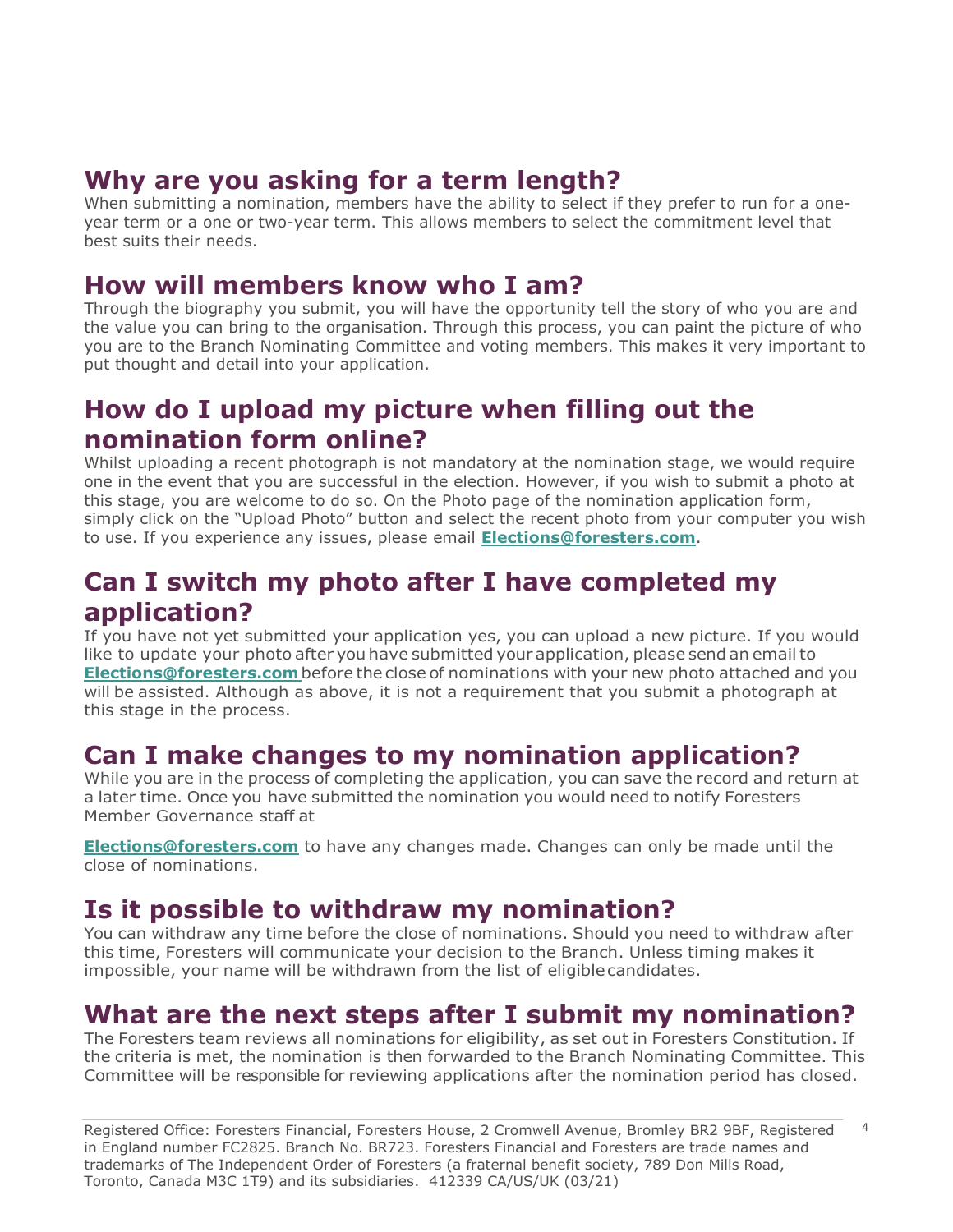## **Why are you asking for a term length?**

When submitting a nomination, members have the ability to select if they prefer to run for a oneyear term or a one or two-year term. This allows members to select the commitment level that best suits their needs.

#### **How will members know who I am?**

Through the biography you submit, you will have the opportunity tell the story of who you are and the value you can bring to the organisation. Through this process, you can paint the picture of who you are to the Branch Nominating Committee and voting members. This makes it very important to put thought and detail into your application.

# **How do I upload my picture when filling out the nomination form online?**

Whilst uploading a recent photograph is not mandatory at the nomination stage, we would require one in the event that you are successful in the election. However, if you wish to submit a photo at this stage, you are welcome to do so. On the Photo page of the nomination application form, simply click on the "Upload Photo" button and select the recent photo from your computer you wish to use. If you experience any issues, please email **[Elections@foresters.com](mailto:Elections@foresters.com)**.

### **Can I switch my photo after I have completed my application?**

If you have not yet submitted your application yes, you can upload a new picture. If you would like to update your photo after you have submitted your application, please send an emailto **[Elections@foresters.com](mailto:Elections@foresters.com)**before the close of nominations with your new photo attached and you will be assisted. Although as above, it is not a requirement that you submit a photograph at this stage in the process.

### **Can I make changes to my nomination application?**

While you are in the process of completing the application, you can save the record and return at a later time. Once you have submitted the nomination you would need to notify Foresters Member Governance staff at

**[Elections@foresters.com](mailto:Elections@foresters.com)** to have any changes made. Changes can only be made until the close of nominations.

## **Is it possible to withdraw my nomination?**

You can withdraw any time before the close of nominations. Should you need to withdraw after this time, Foresters will communicate your decision to the Branch. Unless timing makes it impossible, your name will be withdrawn from the list of eligiblecandidates.

### **What are the next steps after I submit my nomination?**

The Foresters team reviews all nominations for eligibility, as set out in Foresters Constitution. If the criteria is met, the nomination is then forwarded to the Branch Nominating Committee. This Committee will be responsible for reviewing applications after the nomination period has closed.

Registered Office: Foresters Financial, Foresters House, 2 Cromwell Avenue, Bromley BR2 9BF, Registered in England number FC2825. Branch No. BR723. Foresters Financial and Foresters are trade names and trademarks of The Independent Order of Foresters (a fraternal benefit society, 789 Don Mills Road, Toronto, Canada M3C 1T9) and its subsidiaries. 412339 CA/US/UK (03/21) 4